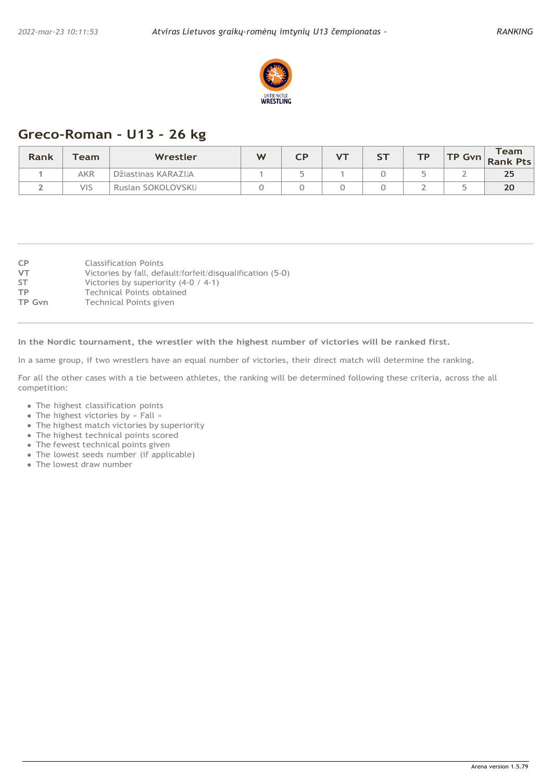

# **Greco-Roman - U13 - 26 kg**

| Rank | $T$ eam    | Wrestler            | W |  | <b>ST</b> | то | TP Gvn | Team<br><b>Rank Pts</b> |
|------|------------|---------------------|---|--|-----------|----|--------|-------------------------|
|      | <b>AKR</b> | Džiastinas KARAZIJA |   |  |           |    |        | 25                      |
| -    | VIS        | Ruslan SOKOLOVSKIJ  |   |  |           |    |        | 20                      |

| <b>Classification Points</b>                              |
|-----------------------------------------------------------|
|                                                           |
| Victories by fall, default/forfeit/disqualification (5-0) |
| Victories by superiority $(4-0 / 4-1)$                    |
| Technical Points obtained                                 |
| Technical Points given                                    |
|                                                           |

**In the Nordic tournament, the wrestler with the highest number of victories will be ranked first.**

In a same group, if two wrestlers have an equal number of victories, their direct match will determine the ranking.

- The highest classification points
- The highest victories by « Fall »
- The highest match victories by superiority
- The highest technical points scored
- The fewest technical points given
- The lowest seeds number (if applicable)
- The lowest draw number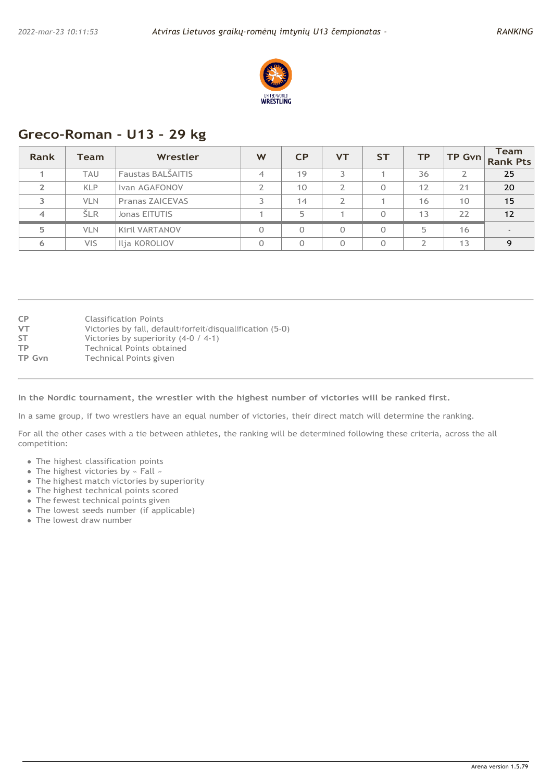

### **Greco-Roman - U13 - 29 kg**

| Rank | Team       | Wrestler               | W        | CP       | <b>VT</b> | <b>ST</b> | <b>TP</b> | $TP$ Gvn | <b>Team</b><br><b>Rank Pts</b> |
|------|------------|------------------------|----------|----------|-----------|-----------|-----------|----------|--------------------------------|
|      | <b>TAU</b> | Faustas BALŠAITIS      | 4        | 19       |           |           | 36        |          | 25                             |
|      | <b>KLP</b> | Ivan AGAFONOV          | っ        | 10       | ∍         |           | 12        | 21       | 20                             |
| 3    | <b>VLN</b> | <b>Pranas ZAICEVAS</b> |          | 14       | ∍         |           | 16        | 10       | 15                             |
| 4    | ŠLR        | Jonas EITUTIS          |          | 5        |           |           | 13        | 22       | 12                             |
| 5    | <b>VLN</b> | Kiril VARTANOV         | $\Omega$ | $\Omega$ |           |           | ц.        | 16       | $\overline{\phantom{0}}$       |
| 6    | <b>VIS</b> | Ilja KOROLIOV          | $\Omega$ | $\Omega$ |           |           | ∍         | 13       | $\Omega$                       |

| <b>CP</b> | <b>Classification Points</b>                              |
|-----------|-----------------------------------------------------------|
| <b>VT</b> | Victories by fall, default/forfeit/disqualification (5-0) |
| <b>ST</b> | Victories by superiority $(4-0 / 4-1)$                    |
| <b>TP</b> | Technical Points obtained                                 |
| TP Gvn    | Technical Points given                                    |

#### **In the Nordic tournament, the wrestler with the highest number of victories will be ranked first.**

In a same group, if two wrestlers have an equal number of victories, their direct match will determine the ranking.

- The highest classification points
- The highest victories by « Fall »
- The highest match victories by superiority
- The highest technical points scored
- The fewest technical points given
- The lowest seeds number (if applicable)
- The lowest draw number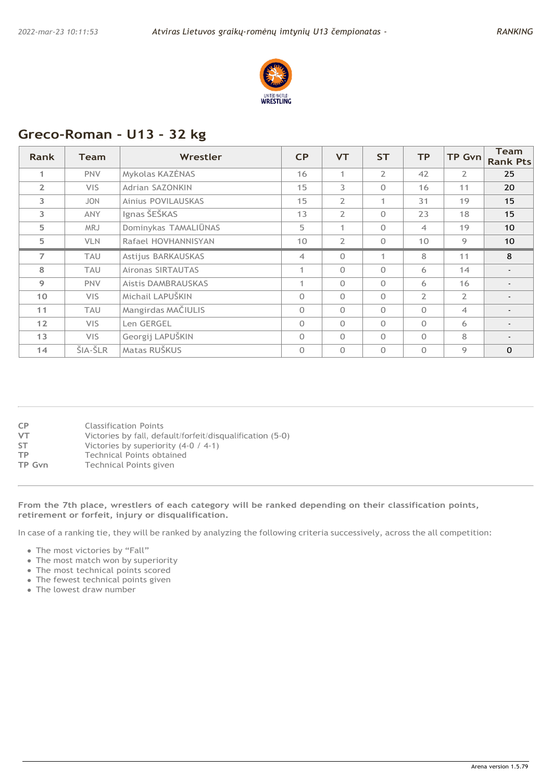

# **Greco-Roman - U13 - 32 kg**

| <b>Rank</b>    | <b>Team</b> | Wrestler               | CP              | <b>VT</b>      | <b>ST</b>      | <b>TP</b>      | <b>TP Gvn</b>  | <b>Team</b><br><b>Rank Pts</b> |
|----------------|-------------|------------------------|-----------------|----------------|----------------|----------------|----------------|--------------------------------|
| 1              | <b>PNV</b>  | Mykolas KAZĖNAS        | 16              | 1              | $\overline{2}$ | 42             | $\overline{2}$ | 25                             |
| $\overline{2}$ | <b>VIS</b>  | <b>Adrian SAZONKIN</b> | 15              | 3              | $\Omega$       | 16             | 11             | 20                             |
| 3              | <b>JON</b>  | Ainius POVILAUSKAS     | 15              | $\overline{2}$ | $\mathbf{1}$   | 31             | 19             | 15                             |
| 3              | <b>ANY</b>  | Ignas ŠEŠKAS           | 13              | $\overline{2}$ | $\Omega$       | 23             | 18             | 15                             |
| 5              | <b>MRJ</b>  | Dominykas TAMALIŪNAS   | 5               | 1              | $\Omega$       | $\overline{4}$ | 19             | 10                             |
| 5              | <b>VLN</b>  | Rafael HOVHANNISYAN    | 10 <sup>°</sup> | $\overline{2}$ | $\Omega$       | 10             | 9              | 10                             |
| $\overline{7}$ | TAU         | Astijus BARKAUSKAS     | $\overline{4}$  | $\Omega$       | $\mathbf{1}$   | 8              | 11             | 8                              |
| 8              | <b>TAU</b>  | Aironas SIRTAUTAS      | $\mathbf{1}$    | $\Omega$       | $\Omega$       | 6              | 14             |                                |
| 9              | <b>PNV</b>  | Aistis DAMBRAUSKAS     | 1               | $\Omega$       | $\Omega$       | 6              | 16             |                                |
| 10             | VIS.        | Michail LAPUŠKIN       | $\Omega$        | $\Omega$       | $\Omega$       | $\overline{2}$ | $\overline{2}$ | $\overline{\phantom{a}}$       |
| 11             | <b>TAU</b>  | Mangirdas MAČIULIS     | $\Omega$        | $\Omega$       | $\Omega$       | $\Omega$       | $\overline{4}$ |                                |
| 12             | <b>VIS</b>  | Len GERGEL             | $\Omega$        | $\Omega$       | $\Omega$       | $\Omega$       | 6              |                                |
| 13             | <b>VIS</b>  | Georgij LAPUŠKIN       | $\Omega$        | $\Omega$       | $\Omega$       | $\Omega$       | 8              | $\overline{\phantom{a}}$       |
| 14             | ŠIA-ŠLR     | Matas RUŠKUS           | $\Omega$        | $\Omega$       | $\Omega$       | $\Omega$       | 9              | $\Omega$                       |

| CP     | <b>Classification Points</b>                              |
|--------|-----------------------------------------------------------|
| VT     | Victories by fall, default/forfeit/disqualification (5-0) |
| SΤ     | Victories by superiority $(4-0 / 4-1)$                    |
| ТP     | Technical Points obtained                                 |
| TP Gvn | Technical Points given                                    |
|        |                                                           |

#### **From the 7th place, wrestlers of each category will be ranked depending on their classification points, retirement or forfeit, injury or disqualification.**

- The most victories by "Fall"
- The most match won by superiority
- The most technical points scored
- The fewest technical points given
- The lowest draw number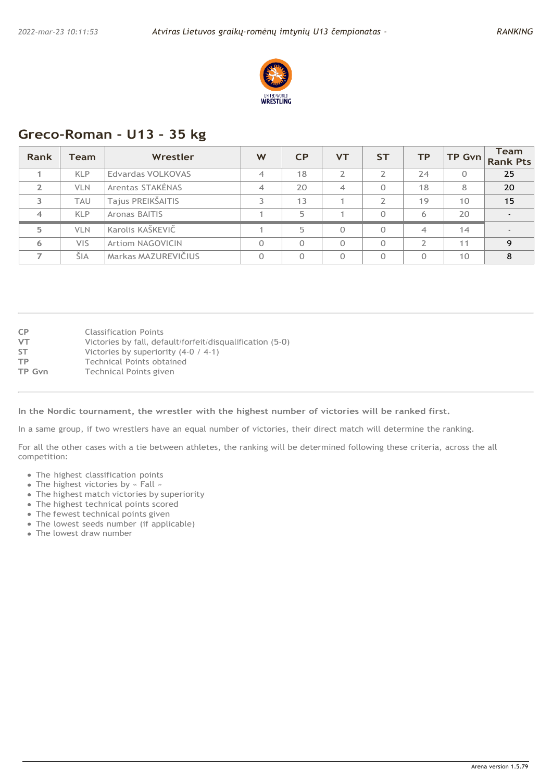

# **Greco-Roman - U13 - 35 kg**

| Rank           | Team       | Wrestler                | W              | CP       | <b>VT</b>                | <b>ST</b> | <b>TP</b> | TP Gvn   | <b>Team</b><br><b>Rank Pts</b> |
|----------------|------------|-------------------------|----------------|----------|--------------------------|-----------|-----------|----------|--------------------------------|
|                | <b>KLP</b> | Edvardas VOLKOVAS       | $\overline{4}$ | 18       | ∍                        |           | 24        | $\Omega$ | 25                             |
|                | <b>VLN</b> | Arentas STAKĖNAS        | $\overline{4}$ | 20       | $\overline{\mathcal{A}}$ | 0         | 18        | 8        | 20                             |
| 3              | <b>TAU</b> | Tajus PREIKŠAITIS       |                | 13       |                          | C.        | 19        | 10       | 15                             |
| $\overline{4}$ | <b>KLP</b> | Aronas BAITIS           |                | 5        |                          | 0         | 6         | 20       | $\overline{\phantom{a}}$       |
| 5              | <b>VLN</b> | Karolis KAŠKEVIČ        |                | 5        | $\Omega$                 | $\Omega$  | 4         | 14       | $\overline{\phantom{0}}$       |
| 6              | <b>VIS</b> | <b>Artiom NAGOVICIN</b> | $\Omega$       | $\Omega$ | $\Omega$                 | $\Omega$  | ∍         | 11       | $\mathbf Q$                    |
|                | ŠIA        | Markas MAZUREVIČIUS     | $\Omega$       | $\Omega$ | 0                        | 0         | $\Omega$  | 10       | 8                              |

| <b>CP</b> | <b>Classification Points</b>                              |
|-----------|-----------------------------------------------------------|
| VT        | Victories by fall, default/forfeit/disqualification (5-0) |
| <b>ST</b> | Victories by superiority $(4-0 / 4-1)$                    |
| ТP        | Technical Points obtained                                 |
| TP Gvn    | Technical Points given                                    |
|           |                                                           |

**In the Nordic tournament, the wrestler with the highest number of victories will be ranked first.**

In a same group, if two wrestlers have an equal number of victories, their direct match will determine the ranking.

- The highest classification points
- The highest victories by « Fall »
- The highest match victories by superiority
- The highest technical points scored
- The fewest technical points given
- The lowest seeds number (if applicable)
- The lowest draw number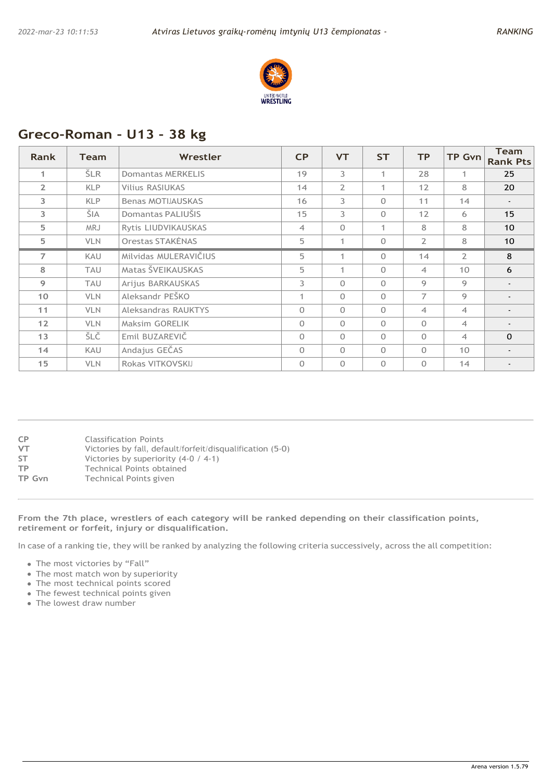

# **Greco-Roman - U13 - 38 kg**

| Rank           | <b>Team</b> | Wrestler                 | CP             | <b>VT</b>      | <b>ST</b>    | <b>TP</b>      | <b>TP Gvn</b>   | <b>Team</b><br><b>Rank Pts</b> |
|----------------|-------------|--------------------------|----------------|----------------|--------------|----------------|-----------------|--------------------------------|
| 1              | <b>ŠLR</b>  | Domantas MERKELIS        | 19             | 3              | 1            | 28             | 1               | 25                             |
| $\overline{2}$ | <b>KLP</b>  | <b>Vilius RASIUKAS</b>   | 14             | $\overline{2}$ | 1            | 12             | 8               | 20                             |
| 3              | <b>KLP</b>  | <b>Benas MOTIJAUSKAS</b> | 16             | 3              | $\Omega$     | 11             | 14              | $\overline{\phantom{a}}$       |
| 3              | ŠIA         | Domantas PALIUŠIS        | 15             | 3              | $\Omega$     | 12             | 6               | 15                             |
| 5              | <b>MRJ</b>  | Rytis LIUDVIKAUSKAS      | $\overline{4}$ | $\Omega$       | $\mathbf{1}$ | 8              | 8               | 10                             |
| 5              | <b>VLN</b>  | Orestas STAKĖNAS         | 5              | 1              | $\Omega$     | $\overline{2}$ | 8               | 10                             |
| $\overline{7}$ | <b>KAU</b>  | Milvidas MULERAVIČIUS    | 5              | 1              | $\Omega$     | 14             | $\overline{2}$  | 8                              |
| 8              | TAU         | Matas ŠVEIKAUSKAS        | 5              | 1              | $\Omega$     | $\overline{4}$ | 10              | 6                              |
| 9              | TAU         | Arijus BARKAUSKAS        | 3              | $\Omega$       | $\Omega$     | 9              | 9               | $\overline{\phantom{a}}$       |
| 10             | <b>VLN</b>  | Aleksandr PEŠKO          | 1              | $\Omega$       | $\Omega$     | $\overline{7}$ | 9               | $\overline{\phantom{a}}$       |
| 11             | <b>VLN</b>  | Aleksandras RAUKTYS      | $\Omega$       | $\Omega$       | $\Omega$     | $\overline{4}$ | $\overline{4}$  |                                |
| 12             | <b>VLN</b>  | Maksim GORELIK           | $\Omega$       | $\Omega$       | $\Omega$     | $\Omega$       | $\overline{4}$  | $\overline{\phantom{a}}$       |
| 13             | ŠLČ         | Emil BUZAREVIČ           | $\Omega$       | $\Omega$       | $\Omega$     | $\Omega$       | $\overline{4}$  | $\Omega$                       |
| 14             | <b>KAU</b>  | Andajus GEČAS            | $\Omega$       | $\Omega$       | $\Omega$     | $\Omega$       | 10 <sup>°</sup> |                                |
| 15             | <b>VLN</b>  | Rokas VITKOVSKIJ         | $\Omega$       | $\Omega$       | $\Omega$     | $\Omega$       | 14              |                                |

| <b>CP</b> | <b>Classification Points</b>                              |
|-----------|-----------------------------------------------------------|
| <b>VT</b> | Victories by fall, default/forfeit/disqualification (5-0) |
| ST        | Victories by superiority $(4-0 / 4-1)$                    |
| <b>TP</b> | Technical Points obtained                                 |
| TP Gvn    | Technical Points given                                    |
|           |                                                           |

**From the 7th place, wrestlers of each category will be ranked depending on their classification points, retirement or forfeit, injury or disqualification.**

- The most victories by "Fall"
- The most match won by superiority
- The most technical points scored
- The fewest technical points given
- The lowest draw number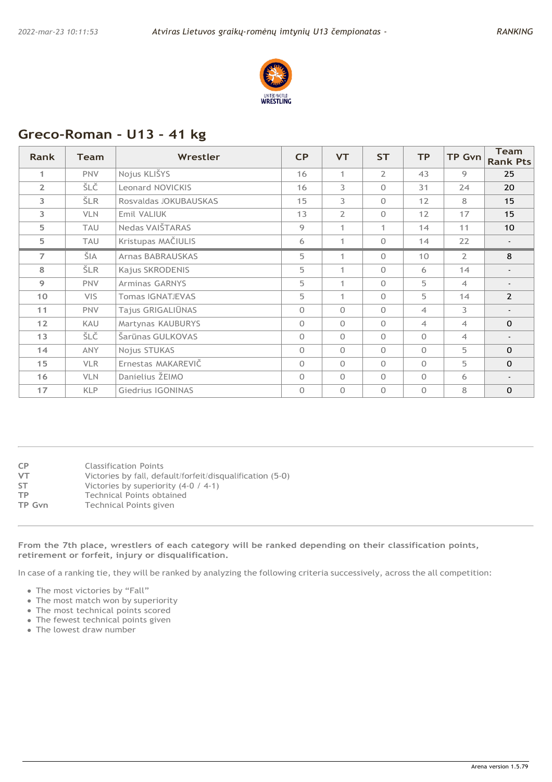

# **Greco-Roman - U13 - 41 kg**

| <b>Rank</b>     | <b>Team</b> | Wrestler                | CP       | <b>VT</b>      | <b>ST</b>      | <b>TP</b>      | <b>TP Gvn</b>  | <b>Team</b><br><b>Rank Pts</b> |
|-----------------|-------------|-------------------------|----------|----------------|----------------|----------------|----------------|--------------------------------|
| 1               | <b>PNV</b>  | Nojus KLIŠYS            | 16       | $\mathbf{1}$   | $\overline{2}$ | 43             | 9              | 25                             |
| $\overline{2}$  | ŠLČ         | <b>Leonard NOVICKIS</b> | 16       | 3              | $\Omega$       | 31             | 24             | 20                             |
| 3               | <b>ŠLR</b>  | Rosvaldas JOKUBAUSKAS   | 15       | $\overline{3}$ | $\Omega$       | 12             | 8              | 15                             |
| 3               | <b>VLN</b>  | Emil VALIUK             | 13       | $\overline{2}$ | $\Omega$       | 12             | 17             | 15                             |
| 5               | <b>TAU</b>  | Nedas VAIŠTARAS         | 9        | 1              | 1              | 14             | 11             | 10 <sup>°</sup>                |
| 5.              | <b>TAU</b>  | Kristupas MAČIULIS      | 6        | 1              | $\Omega$       | 14             | 22             |                                |
| $\overline{7}$  | ŠIA         | <b>Arnas BABRAUSKAS</b> | 5        | 1              | $\Omega$       | 10             | $\overline{2}$ | 8                              |
| 8               | ŠLR.        | Kajus SKRODENIS         | 5        | 1              | $\Omega$       | 6              | 14             | $\overline{\phantom{0}}$       |
| 9               | <b>PNV</b>  | <b>Arminas GARNYS</b>   | 5        | 1              | $\Omega$       | 5              | $\overline{4}$ | $\overline{\phantom{0}}$       |
| 10 <sup>°</sup> | VIS.        | <b>Tomas IGNATJEVAS</b> | 5        | 1              | $\Omega$       | 5              | 14             | $\overline{2}$                 |
| 11              | <b>PNV</b>  | Tajus GRIGALIŪNAS       | $\Omega$ | $\Omega$       | $\Omega$       | $\overline{4}$ | 3              | $\overline{\phantom{a}}$       |
| 12              | <b>KAU</b>  | Martynas KAUBURYS       | $\Omega$ | $\Omega$       | $\Omega$       | $\overline{4}$ | $\overline{A}$ | $\Omega$                       |
| 13              | ŠLČ         | Šarūnas GULKOVAS        | $\Omega$ | $\Omega$       | $\Omega$       | $\Omega$       | $\overline{4}$ | $\overline{\phantom{a}}$       |
| 14              | <b>ANY</b>  | Nojus STUKAS            | $\Omega$ | $\Omega$       | $\Omega$       | $\Omega$       | 5              | $\Omega$                       |
| 15              | <b>VLR</b>  | Ernestas MAKAREVIČ      | $\Omega$ | $\Omega$       | $\Omega$       | $\Omega$       | 5              | $\Omega$                       |
| 16              | <b>VLN</b>  | Danielius ŽEIMO         | $\Omega$ | $\Omega$       | $\Omega$       | $\Omega$       | 6              | $\blacksquare$                 |
| 17              | <b>KLP</b>  | Giedrius IGONINAS       | $\Omega$ | $\Omega$       | $\Omega$       | $\Omega$       | 8              | $\Omega$                       |

| CP     | <b>Classification Points</b>                              |
|--------|-----------------------------------------------------------|
| VT     | Victories by fall, default/forfeit/disqualification (5-0) |
| ST     | Victories by superiority $(4-0 / 4-1)$                    |
| ТP     | Technical Points obtained                                 |
| TP Gvn | Technical Points given                                    |
|        |                                                           |
|        |                                                           |

#### **From the 7th place, wrestlers of each category will be ranked depending on their classification points, retirement or forfeit, injury or disqualification.**

- The most victories by "Fall"
- The most match won by superiority
- The most technical points scored
- The fewest technical points given
- The lowest draw number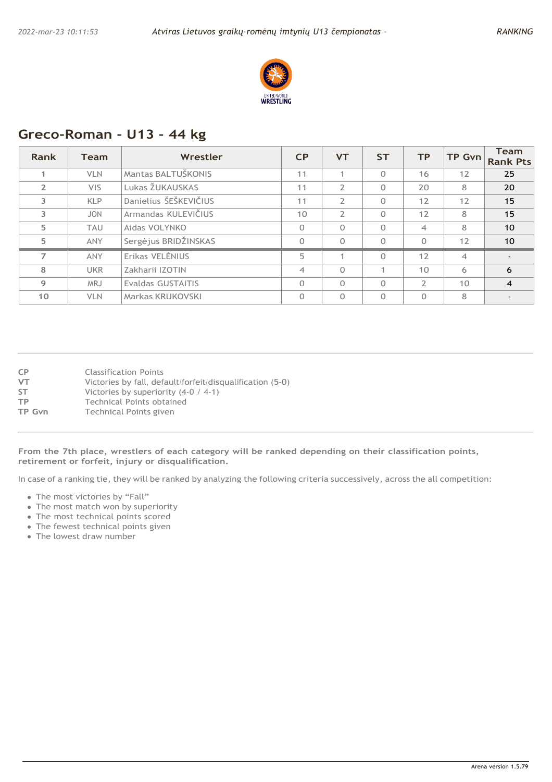

# **Greco-Roman - U13 - 44 kg**

| Rank           | <b>Team</b> | Wrestler              | CP             | <b>VT</b>      | <b>ST</b> | <b>TP</b>       | <b>TP Gvn</b>  | <b>Team</b><br><b>Rank Pts</b> |
|----------------|-------------|-----------------------|----------------|----------------|-----------|-----------------|----------------|--------------------------------|
|                | <b>VLN</b>  | Mantas BALTUŠKONIS    | 11             |                | $\Omega$  | 16              | 12             | 25                             |
| $\overline{2}$ | <b>VIS</b>  | Lukas ŽUKAUSKAS       | 11             | $\overline{2}$ | $\Omega$  | 20              | 8              | 20                             |
| $\overline{3}$ | <b>KLP</b>  | Danielius ŠEŠKEVIČIUS | 11             | $\overline{2}$ | 0         | 12              | 12             | 15                             |
| 3              | <b>JON</b>  | Armandas KULEVIČIUS   | 10             | $\overline{2}$ | $\Omega$  | 12              | 8              | 15                             |
| 5              | <b>TAU</b>  | Aidas VOLYNKO         | $\Omega$       | $\Omega$       | $\Omega$  | $\overline{4}$  | 8              | 10                             |
| 5              | <b>ANY</b>  | Sergėjus BRIDŽINSKAS  | 0              | $\Omega$       | 0         | $\Omega$        | 12             | 10 <sup>°</sup>                |
| $\overline{7}$ | <b>ANY</b>  | Erikas VELENIUS       | 5              | 4              | $\Omega$  | 12              | $\overline{4}$ | $\blacksquare$                 |
| 8              | <b>UKR</b>  | Zakharii IZOTIN       | $\overline{4}$ | $\Omega$       |           | 10 <sup>°</sup> | 6              | 6                              |
| 9              | <b>MRJ</b>  | Evaldas GUSTAITIS     | $\Omega$       | $\Omega$       | $\Omega$  | $\mathcal{L}$   | 10             | $\overline{4}$                 |
| 10             | <b>VLN</b>  | Markas KRUKOVSKI      | $\Omega$       | $\Omega$       | $\Omega$  | $\Omega$        | 8              | $\overline{\phantom{a}}$       |

| <b>CP</b> | <b>Classification Points</b>                      |
|-----------|---------------------------------------------------|
| $V$ T     | Victories by fall default/forfeit/disqualificatio |

- **VT** Victories by fall, default/forfeit/disqualification (5-0)<br>**ST** Victories by superiority (4-0 / 4-1)
- **ST** Victories by superiority (4-0 / 4-1)<br> **TP** Technical Points obtained
- **TP** Technical Points obtained<br> **TP** Gvn Technical Points given
- **Technical Points given**

**From the 7th place, wrestlers of each category will be ranked depending on their classification points, retirement or forfeit, injury or disqualification.**

- The most victories by "Fall"
- The most match won by superiority
- The most technical points scored
- The fewest technical points given
- The lowest draw number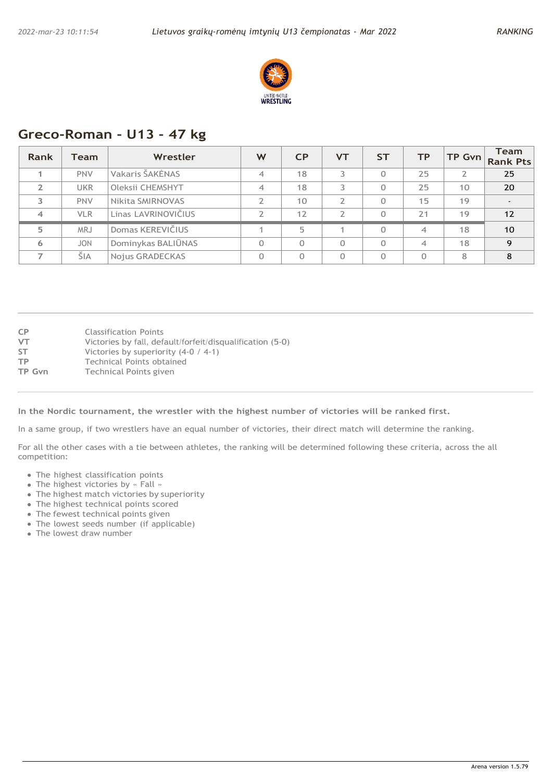

# **Greco-Roman - U13 - 47 kg**

| Rank           | <b>Team</b> | Wrestler            | W                        | CP       | <b>VT</b> | <b>ST</b> | <b>TP</b>                | TP Gvn | <b>Team</b><br><b>Rank Pts</b> |
|----------------|-------------|---------------------|--------------------------|----------|-----------|-----------|--------------------------|--------|--------------------------------|
|                | <b>PNV</b>  | Vakaris ŠAKĖNAS     | 4                        | 18       |           | 0         | 25                       |        | 25                             |
| $\overline{2}$ | <b>UKR</b>  | Oleksii CHEMSHYT    | 4                        | 18       |           | 0         | 25                       | 10     | 20                             |
| 3              | <b>PNV</b>  | Nikita SMIRNOVAS    | $\overline{\phantom{a}}$ | 10       | C         | 0         | 15                       | 19     | $\sim$                         |
| $\overline{4}$ | <b>VLR</b>  | Linas LAVRINOVIČIUS | $\overline{2}$           | 12       | C.        | 0         | 21                       | 19     | 12                             |
| 5              | <b>MRJ</b>  | Domas KEREVIČIUS    |                          | 5        |           | $\Omega$  | 4                        | 18     | 10                             |
| 6              | <b>JON</b>  | Dominykas BALIŪNAS  | $\Omega$                 | $\Omega$ | $\Omega$  | $\Omega$  | $\overline{\mathcal{A}}$ | 18     | $\mathbf Q$                    |
|                | ŠIA         | Nojus GRADECKAS     | $\Omega$                 | $\Omega$ | $\Omega$  | $\Omega$  | $\Omega$                 | 8      | 8                              |

| <b>CP</b> | <b>Classification Points</b>                              |
|-----------|-----------------------------------------------------------|
| VT        | Victories by fall, default/forfeit/disqualification (5-0) |
| <b>ST</b> | Victories by superiority $(4-0 / 4-1)$                    |
| ТP        | Technical Points obtained                                 |
| TP Gvn    | Technical Points given                                    |
|           |                                                           |

**In the Nordic tournament, the wrestler with the highest number of victories will be ranked first.**

In a same group, if two wrestlers have an equal number of victories, their direct match will determine the ranking.

- The highest classification points
- The highest victories by « Fall »
- The highest match victories by superiority
- The highest technical points scored
- The fewest technical points given
- The lowest seeds number (if applicable)
- The lowest draw number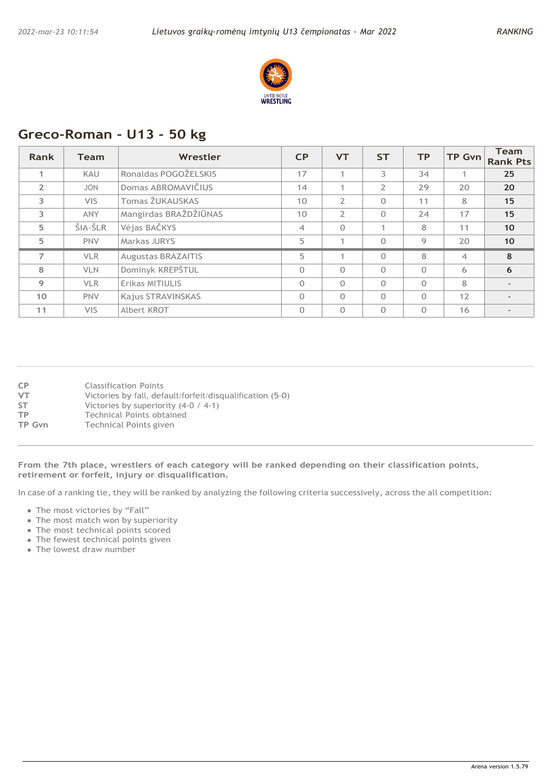

# **Greco-Roman - U13 - 50 kg**

| <b>Rank</b>    | <b>Team</b> | Wrestler                  | CP             | <b>VT</b>      | <b>ST</b>      | <b>TP</b> | <b>TP Gvn</b>  | <b>Team</b><br><b>Rank Pts</b> |
|----------------|-------------|---------------------------|----------------|----------------|----------------|-----------|----------------|--------------------------------|
| 1              | <b>KAU</b>  | Ronaldas POGOŽELSKIS      | 17             |                | 3              | 34        | 1              | 25                             |
| $\overline{2}$ | <b>JON</b>  | Domas ABROMAVIČIUS        | 14             |                | $\overline{2}$ | 29        | 20             | 20                             |
| 3              | VIS.        | Tomas ŽUKAUSKAS           | 10             | $\overline{2}$ | $\Omega$       | 11        | 8              | 15                             |
| 3              | <b>ANY</b>  | Mangirdas BRAŽDŽIŪNAS     | 10             | $\overline{2}$ | $\Omega$       | 24        | 17             | 15                             |
| 5              | ŠIA-ŠLR     | Vėjas BAČKYS              | $\overline{4}$ | $\Omega$       |                | 8         | 11             | 10                             |
| 5              | <b>PNV</b>  | <b>Markas JURYS</b>       | 5              |                | $\Omega$       | 9         | 20             | 10                             |
| $\overline{ }$ | <b>VLR</b>  | <b>Augustas BRAZAITIS</b> | 5              | 4              | $\Omega$       | 8         | $\overline{4}$ | 8                              |
| 8              | <b>VLN</b>  | Dominyk KREPŠTUL          | $\Omega$       | $\Omega$       | $\Omega$       | $\Omega$  | 6              | 6                              |
| 9              | <b>VLR</b>  | Erikas MITIULIS           | $\Omega$       | $\Omega$       | $\Omega$       | $\Omega$  | 8              | $\overline{\phantom{a}}$       |
| 10             | <b>PNV</b>  | Kajus STRAVINSKAS         | $\Omega$       | $\Omega$       | $\Omega$       | $\Omega$  | 12             | $\overline{\phantom{a}}$       |
| 11             | <b>VIS</b>  | Albert KROT               | $\Omega$       | $\Omega$       | $\Omega$       | $\Omega$  | 16             |                                |

| <b>CP</b> | <b>Classification Points</b>                              |
|-----------|-----------------------------------------------------------|
| <b>VT</b> | Victories by fall, default/forfeit/disqualification (5-0) |
| <b>ST</b> | Victories by superiority $(4-0 / 4-1)$                    |
| ТP        | Technical Points obtained                                 |
| TP Gvn    | Technical Points given                                    |

**From the 7th place, wrestlers of each category will be ranked depending on their classification points, retirement or forfeit, injury or disqualification.**

- The most victories by "Fall"
- The most match won by superiority
- The most technical points scored
- The fewest technical points given
- The lowest draw number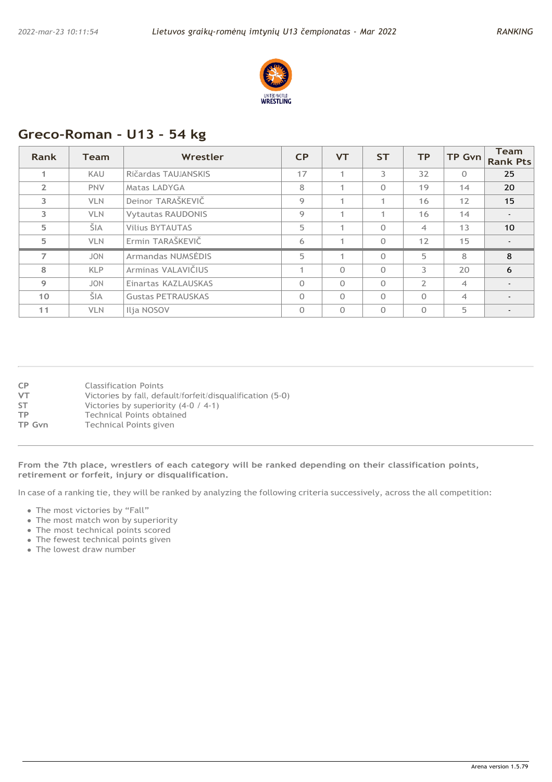

# **Greco-Roman - U13 - 54 kg**

| <b>Rank</b>    | <b>Team</b> | Wrestler                 | C <sub>P</sub> | <b>VT</b>      | <b>ST</b> | <b>TP</b>      | <b>TP Gvn</b>  | <b>Team</b><br><b>Rank Pts</b> |
|----------------|-------------|--------------------------|----------------|----------------|-----------|----------------|----------------|--------------------------------|
| 1.             | KAU         | Ričardas TAUJANSKIS      | 17             | 4              | 3         | 32             | $\Omega$       | 25                             |
| $\overline{2}$ | <b>PNV</b>  | Matas LADYGA             | 8              |                | $\Omega$  | 19             | 14             | 20                             |
| 3              | <b>VLN</b>  | Deinor TARAŠKEVIČ        | 9              |                |           | 16             | 12             | 15                             |
| 3              | <b>VLN</b>  | <b>Vytautas RAUDONIS</b> | 9              |                |           | 16             | 14             | $\blacksquare$                 |
| 5              | ŠIA         | <b>Vilius BYTAUTAS</b>   | 5              | $\overline{A}$ | $\Omega$  | $\overline{4}$ | 13             | 10                             |
| 5              | <b>VLN</b>  | Ermin TARAŠKEVIČ         | 6              |                | $\Omega$  | 12             | 15             | $\overline{\phantom{a}}$       |
| $\overline{7}$ | <b>JON</b>  | Armandas NUMSEDIS        | 5              | $\mathbf{1}$   | $\Omega$  | 5              | 8              | 8                              |
| 8              | <b>KLP</b>  | Arminas VALAVIČIUS       | 1              | $\Omega$       | $\Omega$  | 3              | 20             | 6                              |
| 9              | <b>JON</b>  | Einartas KAZLAUSKAS      | $\Omega$       | $\Omega$       | $\Omega$  | $\overline{2}$ | $\overline{4}$ | $\overline{\phantom{a}}$       |
| 10             | ŠIA         | <b>Gustas PETRAUSKAS</b> | $\Omega$       | $\Omega$       | $\Omega$  | $\Omega$       | $\overline{4}$ | $\overline{\phantom{a}}$       |
| 11             | <b>VLN</b>  | Ilja NOSOV               | $\Omega$       | $\Omega$       | $\Omega$  | $\Omega$       | 5              |                                |

| CP        | <b>Classification Points</b>                              |
|-----------|-----------------------------------------------------------|
| VT        | Victories by fall, default/forfeit/disqualification (5-0) |
| <b>ST</b> | Victories by superiority $(4-0 / 4-1)$                    |
| ТP        | Technical Points obtained                                 |
| TP Gvn    | Technical Points given                                    |

**From the 7th place, wrestlers of each category will be ranked depending on their classification points, retirement or forfeit, injury or disqualification.**

- The most victories by "Fall"
- The most match won by superiority
- The most technical points scored
- The fewest technical points given
- The lowest draw number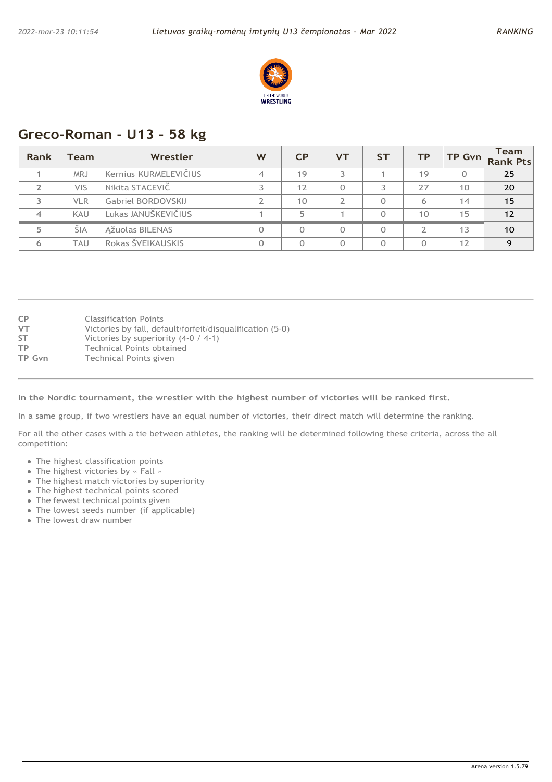

### **Greco-Roman - U13 - 58 kg**

| Rank | Team       | Wrestler              | W | <b>CP</b> | VT | ST | ТP | TP Gvn | <b>Team</b><br><b>Rank Pts</b> |
|------|------------|-----------------------|---|-----------|----|----|----|--------|--------------------------------|
|      | <b>MRJ</b> | Kernius KURMELEVIČIUS | 4 | 19        |    |    | 19 |        | 25                             |
|      | <b>VIS</b> | Nikita STACEVIČ       |   | 12        |    |    | 77 | 10     | 20                             |
|      | <b>VLR</b> | Gabriel BORDOVSKIJ    |   | 10        |    |    | 6  | 14     | 15                             |
|      | KAU        | Lukas JANUŠKEVIČIUS   |   | 5         |    |    | 10 | 15     | 12                             |
| 5    | ŠIA        | Ažuolas BILENAS       |   | $\Omega$  |    |    |    | 13     | 10                             |
| 6    | TAU        | Rokas ŠVEIKAUSKIS     |   |           |    |    |    | 12     |                                |

| <b>CP</b> | <b>Classification Points</b>                              |
|-----------|-----------------------------------------------------------|
| <b>VT</b> | Victories by fall, default/forfeit/disqualification (5-0) |
| <b>ST</b> | Victories by superiority $(4-0 / 4-1)$                    |
| TP        | Technical Points obtained                                 |
| TP Gvn    | Technical Points given                                    |

#### **In the Nordic tournament, the wrestler with the highest number of victories will be ranked first.**

In a same group, if two wrestlers have an equal number of victories, their direct match will determine the ranking.

- The highest classification points
- The highest victories by « Fall »
- The highest match victories by superiority
- The highest technical points scored
- The fewest technical points given
- The lowest seeds number (if applicable)
- The lowest draw number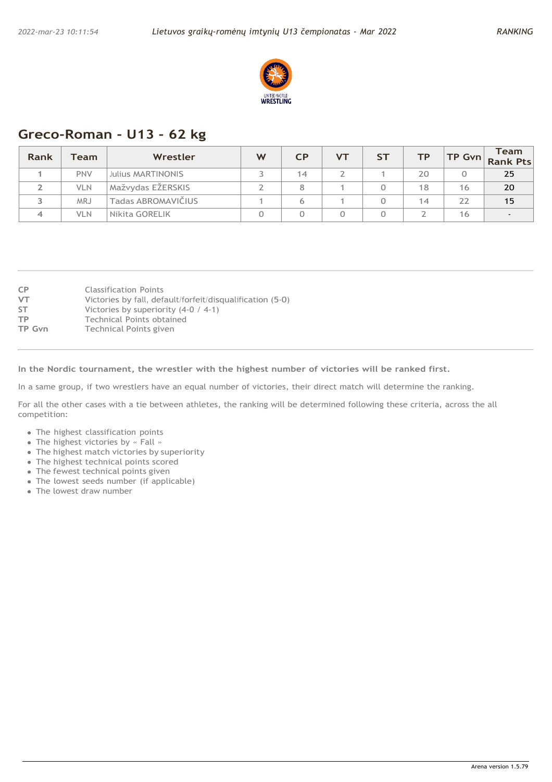

# **Greco-Roman - U13 - 62 kg**

| Rank | Team       | Wrestler                 | W | <b>CP</b> | <b>VT</b> | <b>ST</b> | ТP | $TP$ Gvn | <b>Team</b><br><b>Rank Pts</b> |
|------|------------|--------------------------|---|-----------|-----------|-----------|----|----------|--------------------------------|
|      | <b>PNV</b> | <b>Julius MARTINONIS</b> |   | 14        |           |           | 20 |          | 25                             |
|      | <b>VLN</b> | Mažvydas EŽERSKIS        |   | 8         |           |           | 18 | 16       | 20                             |
|      | MRJ        | Tadas ABROMAVIČIUS       |   | 6         |           |           | 14 | 22       | 15                             |
|      | <b>VLN</b> | l Nikita GORELIK         |   |           |           |           |    | 16       | $\overline{\phantom{a}}$       |

| <b>CP</b><br><b>VT</b><br><b>ST</b> | <b>Classification Points</b><br>Victories by fall, default/forfeit/disqualification (5-0)<br>Victories by superiority $(4-0 / 4-1)$ |
|-------------------------------------|-------------------------------------------------------------------------------------------------------------------------------------|
| <b>TP</b>                           | Technical Points obtained                                                                                                           |
| TP Gvn                              | Technical Points given                                                                                                              |

**In the Nordic tournament, the wrestler with the highest number of victories will be ranked first.**

In a same group, if two wrestlers have an equal number of victories, their direct match will determine the ranking.

- The highest classification points
- The highest victories by « Fall »
- The highest match victories by superiority
- The highest technical points scored
- The fewest technical points given
- The lowest seeds number (if applicable)
- The lowest draw number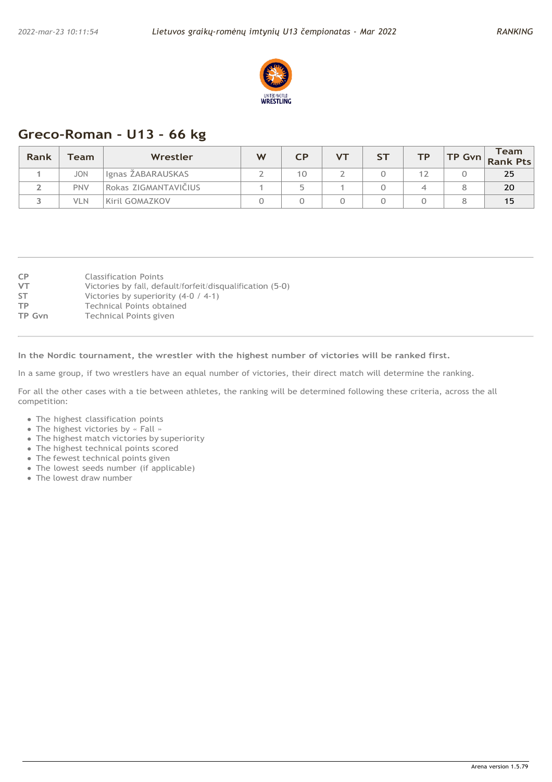

# **Greco-Roman - U13 - 66 kg**

| Rank | $\tau$ eam $\Gamma$ | Wrestler             | W | СP                       | $V$ T | cт<br>ັ | тp | <b>Team</b><br>TP Gvn Rank Pts |
|------|---------------------|----------------------|---|--------------------------|-------|---------|----|--------------------------------|
|      | <b>JON</b>          | Ignas ŽABARAUSKAS    |   | 10                       |       |         |    | 25                             |
|      | <b>PNV</b>          | Rokas ZIGMANTAVIČIUS |   | $\overline{\phantom{a}}$ |       |         |    | 20                             |
|      | VLN                 | Kiril GOMAZKOV       |   |                          |       |         |    | 15                             |

| <b>CP</b> | <b>Classification Points</b>                              |
|-----------|-----------------------------------------------------------|
| VT        | Victories by fall, default/forfeit/disqualification (5-0) |
| <b>ST</b> | Victories by superiority $(4-0 / 4-1)$                    |
| ТP        | Technical Points obtained                                 |
| TP Gvn    | Technical Points given                                    |
|           |                                                           |

**In the Nordic tournament, the wrestler with the highest number of victories will be ranked first.**

In a same group, if two wrestlers have an equal number of victories, their direct match will determine the ranking.

- The highest classification points
- The highest victories by « Fall »
- The highest match victories by superiority
- The highest technical points scored
- The fewest technical points given
- The lowest seeds number (if applicable)
- The lowest draw number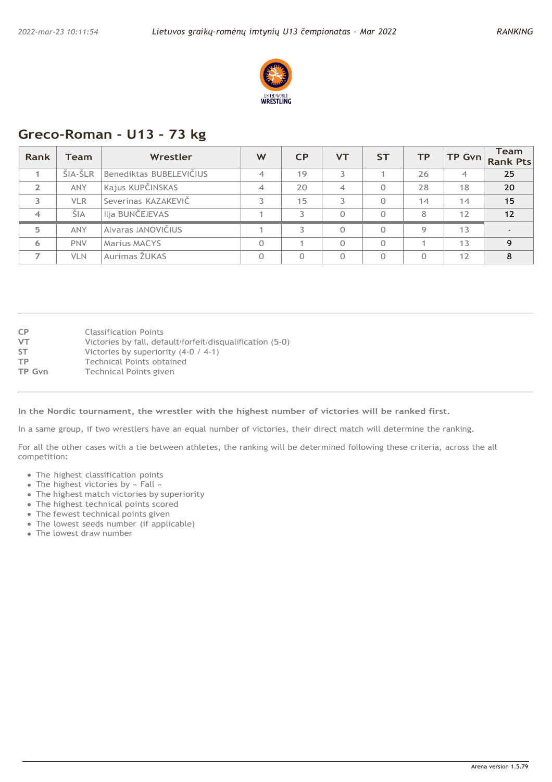

# **Greco-Roman - U13 - 73 kg**

| <b>Rank</b>    | <b>Team</b> | Wrestler                | W              | CP       | <b>VT</b> | <b>ST</b> | <b>TP</b> | TP Gvn         | <b>Team</b><br><b>Rank Pts</b> |
|----------------|-------------|-------------------------|----------------|----------|-----------|-----------|-----------|----------------|--------------------------------|
|                | ŠIA-ŠLR     | Benediktas BUBELEVIČIUS | $\overline{4}$ | 19       | 3.        |           | 26        | $\overline{4}$ | 25                             |
| $\overline{2}$ | <b>ANY</b>  | Kajus KUPČINSKAS        | $\overline{4}$ | 20       | 4         | Ω         | 28        | 18             | 20                             |
| 3              | <b>VLR</b>  | Severinas KAZAKEVIČ     | 3              | 15       | 3         | 0         | 14        | 14             | 15                             |
| $\overline{4}$ | ŠIA         | Ilja BUNČEJEVAS         |                | 3        | 0         | $\Omega$  | 8         | 12             | 12                             |
| 5              | <b>ANY</b>  | Alvaras JANOVIČIUS      |                | 3        | $\Omega$  | 0         | Q         | 13             |                                |
| 6              | <b>PNV</b>  | <b>Marius MACYS</b>     | $\Omega$       |          | $\Omega$  | $\Omega$  |           | 13             | 9                              |
|                | <b>VLN</b>  | Aurimas ŽUKAS           | $\Omega$       | $\Omega$ | $\Omega$  | $\Omega$  |           | 12             | 8                              |

| <b>CP</b> | <b>Classification Points</b>                              |
|-----------|-----------------------------------------------------------|
| VT        | Victories by fall, default/forfeit/disqualification (5-0) |
| <b>ST</b> | Victories by superiority $(4-0 / 4-1)$                    |
| ТP        | Technical Points obtained                                 |
| TP Gvn    | Technical Points given                                    |
|           |                                                           |

**In the Nordic tournament, the wrestler with the highest number of victories will be ranked first.**

In a same group, if two wrestlers have an equal number of victories, their direct match will determine the ranking.

- The highest classification points
- The highest victories by « Fall »
- The highest match victories by superiority
- The highest technical points scored
- The fewest technical points given
- The lowest seeds number (if applicable)
- The lowest draw number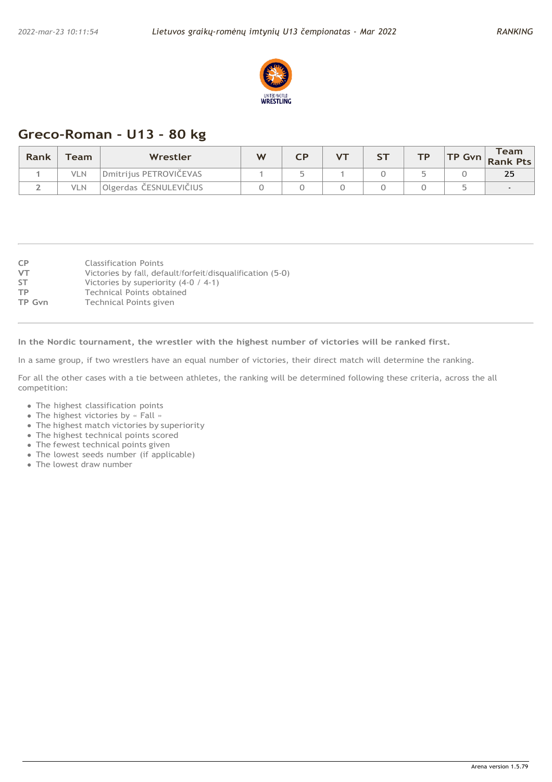

# **Greco-Roman - U13 - 80 kg**

| Rank | $\mathop{\mathsf{Team}}$ | Wrestler               | W |  | <b>ST</b> | <b>TP</b> | Team<br>$\left  \textsf{TP}\right.$ Gvn $\left  \textsf{Rank} \right.$ Pts |
|------|--------------------------|------------------------|---|--|-----------|-----------|----------------------------------------------------------------------------|
|      | VLN                      | Dmitrijus PETROVIČEVAS |   |  |           |           | 25                                                                         |
|      | VLN                      | Olgerdas ČESNULEVIČIUS |   |  |           |           |                                                                            |

| <b>CP</b>     | <b>Classification Points</b>                              |
|---------------|-----------------------------------------------------------|
|               |                                                           |
| <b>VT</b>     | Victories by fall, default/forfeit/disqualification (5-0) |
| <b>ST</b>     | Victories by superiority $(4-0 / 4-1)$                    |
| TP            | Technical Points obtained                                 |
| <b>TP Gyn</b> | Technical Points given                                    |

**In the Nordic tournament, the wrestler with the highest number of victories will be ranked first.**

In a same group, if two wrestlers have an equal number of victories, their direct match will determine the ranking.

- The highest classification points
- The highest victories by « Fall »
- The highest match victories by superiority
- The highest technical points scored
- The fewest technical points given
- The lowest seeds number (if applicable)
- The lowest draw number